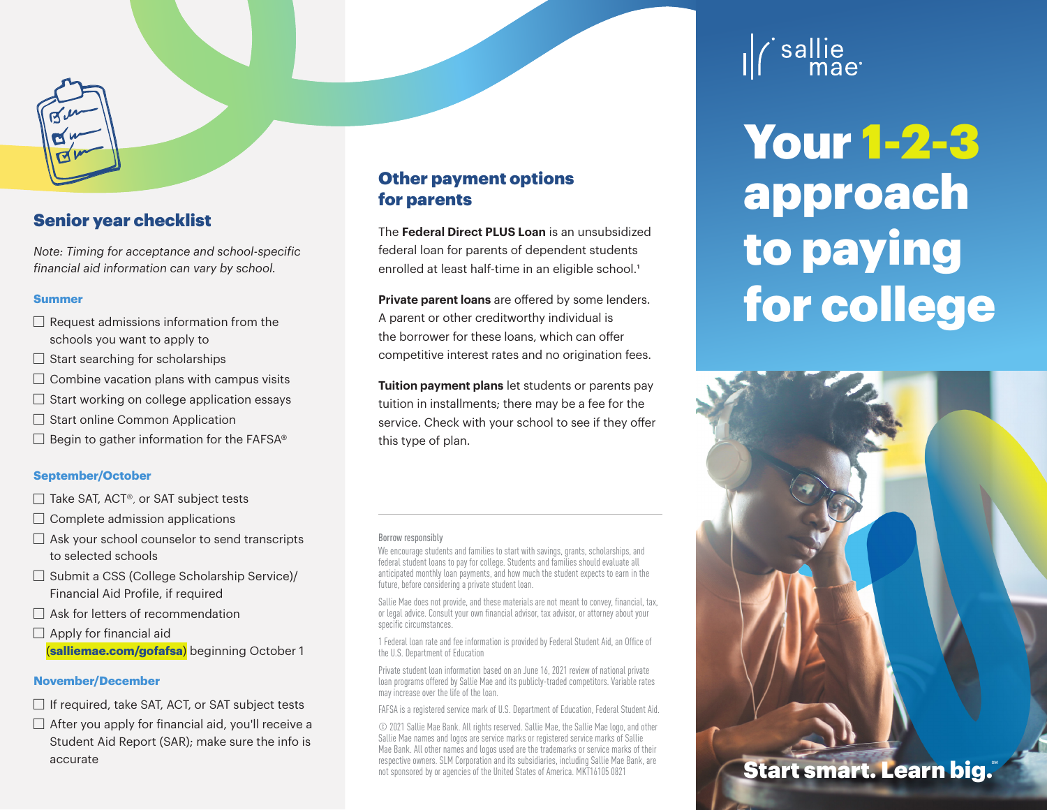# Senior year checklist

*Note: Timing for acceptance and school-specific financial aid information can vary by school.*

## **Summer**

- $\Box$  Request admissions information from the schools you want to apply to
- $\Box$  Start searching for scholarships
- $\Box$  Combine vacation plans with campus visits
- $\Box$  Start working on college application essays
- $\Box$  Start online Common Application
- $\Box$  Begin to gather information for the FAFSA®

## **September/October**

- $\Box$  Take SAT, ACT®, or SAT subject tests
- $\Box$  Complete admission applications
- $\Box$  Ask your school counselor to send transcripts to selected schools
- $\Box$  Submit a CSS (College Scholarship Service)/ Financial Aid Profile, if required
- $\Box$  Ask for letters of recommendation
- $\Box$  Apply for financial aid (**salliemae.com/gofafsa**) beginning October 1

#### **November/December**

- $\Box$  If required, take SAT, ACT, or SAT subject tests
- $\Box$  After you apply for financial aid, you'll receive a Student Aid Report (SAR); make sure the info is accurate

# Other payment options for parents

The **Federal Direct PLUS Loan** is an unsubsidized federal loan for parents of dependent students enrolled at least half-time in an eligible school.<sup>1</sup>

**Private parent loans** are offered by some lenders. A parent or other creditworthy individual is the borrower for these loans, which can offer competitive interest rates and no origination fees.

**Tuition payment plans** let students or parents pay tuition in installments; there may be a fee for the service. Check with your school to see if they offer this type of plan.

#### Borrow responsibly

We encourage students and families to start with savings, grants, scholarships, and federal student loans to pay for college. Students and families should evaluate all anticipated monthly loan payments, and how much the student expects to earn in the future, before considering a private student loan.

Sallie Mae does not provide, and these materials are not meant to convey, financial, tax, or legal advice. Consult your own financial advisor, tax advisor, or attorney about your specific circumstances.

1 Federal loan rate and fee information is provided by Federal Student Aid, an Office of the U.S. Department of Education

Private student loan information based on an June 16, 2021 review of national private loan programs offered by Sallie Mae and its publicly-traded competitors. Variable rates may increase over the life of the loan.

FAFSA is a registered service mark of U.S. Department of Education, Federal Student Aid.

© 2021 Sallie Mae Bank. All rights reserved. Sallie Mae, the Sallie Mae logo, and other Sallie Mae names and logos are service marks or registered service marks of Sallie Mae Bank. All other names and logos used are the trademarks or service marks of their respective owners. SLM Corporation and its subsidiaries, including Sallie Mae Bank, are not sponsored by or agencies of the United States of America. MKT16105 0821

# ' sallie<br>mae

Your 1-2-3 approach to paying for college